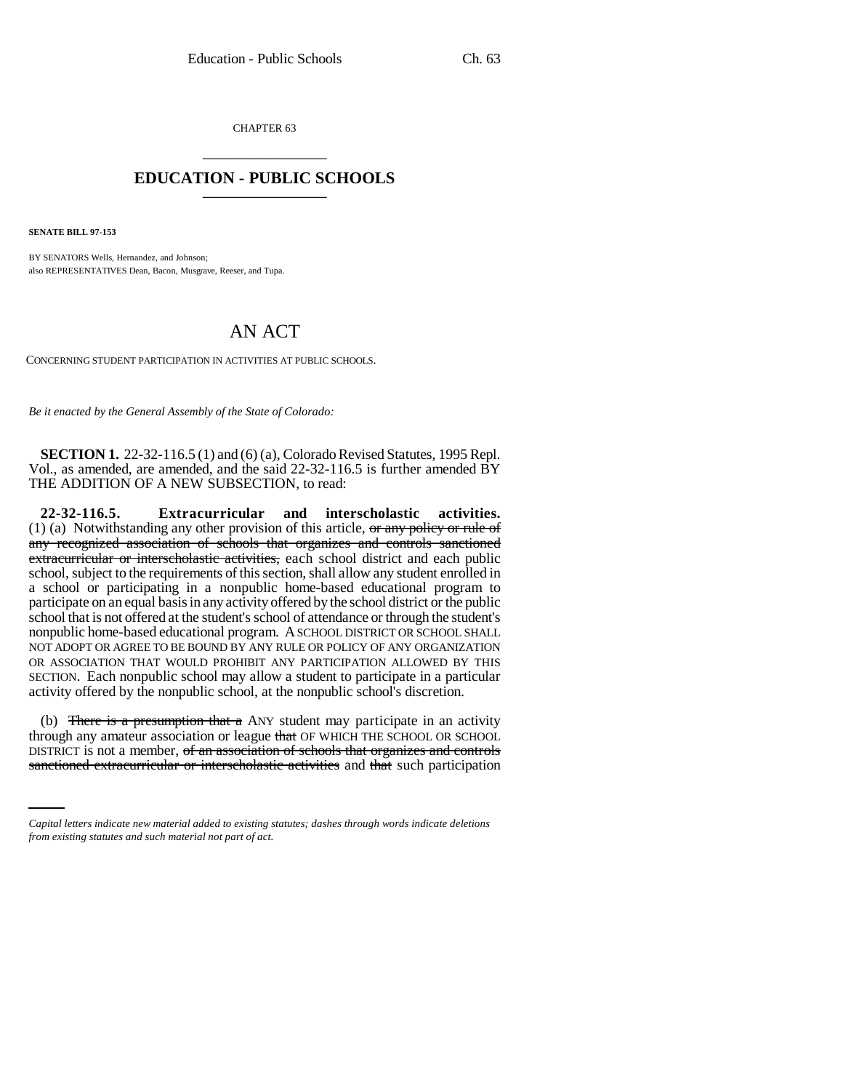CHAPTER 63 \_\_\_\_\_\_\_\_\_\_\_\_\_\_\_

## **EDUCATION - PUBLIC SCHOOLS** \_\_\_\_\_\_\_\_\_\_\_\_\_\_\_

**SENATE BILL 97-153**

BY SENATORS Wells, Hernandez, and Johnson; also REPRESENTATIVES Dean, Bacon, Musgrave, Reeser, and Tupa.

## AN ACT

CONCERNING STUDENT PARTICIPATION IN ACTIVITIES AT PUBLIC SCHOOLS.

*Be it enacted by the General Assembly of the State of Colorado:*

**SECTION 1.** 22-32-116.5 (1) and (6) (a), Colorado Revised Statutes, 1995 Repl. Vol., as amended, are amended, and the said 22-32-116.5 is further amended BY THE ADDITION OF A NEW SUBSECTION, to read:

**22-32-116.5. Extracurricular and interscholastic activities.** (1) (a) Notwithstanding any other provision of this article,  $\theta$  any policy or rule of any recognized association of schools that organizes and controls sanctioned extracurricular or interscholastic activities, each school district and each public school, subject to the requirements of this section, shall allow any student enrolled in a school or participating in a nonpublic home-based educational program to participate on an equal basis in any activity offered by the school district or the public school that is not offered at the student's school of attendance or through the student's nonpublic home-based educational program. A SCHOOL DISTRICT OR SCHOOL SHALL NOT ADOPT OR AGREE TO BE BOUND BY ANY RULE OR POLICY OF ANY ORGANIZATION OR ASSOCIATION THAT WOULD PROHIBIT ANY PARTICIPATION ALLOWED BY THIS SECTION. Each nonpublic school may allow a student to participate in a particular activity offered by the nonpublic school, at the nonpublic school's discretion.

through any amateur association or league that OF WHICH THE SCHOOL OR SCHOOL (b) There is a presumption that a ANY student may participate in an activity DISTRICT is not a member, of an association of schools that organizes and controls sanctioned extracurricular or interscholastic activities and that such participation

*Capital letters indicate new material added to existing statutes; dashes through words indicate deletions from existing statutes and such material not part of act.*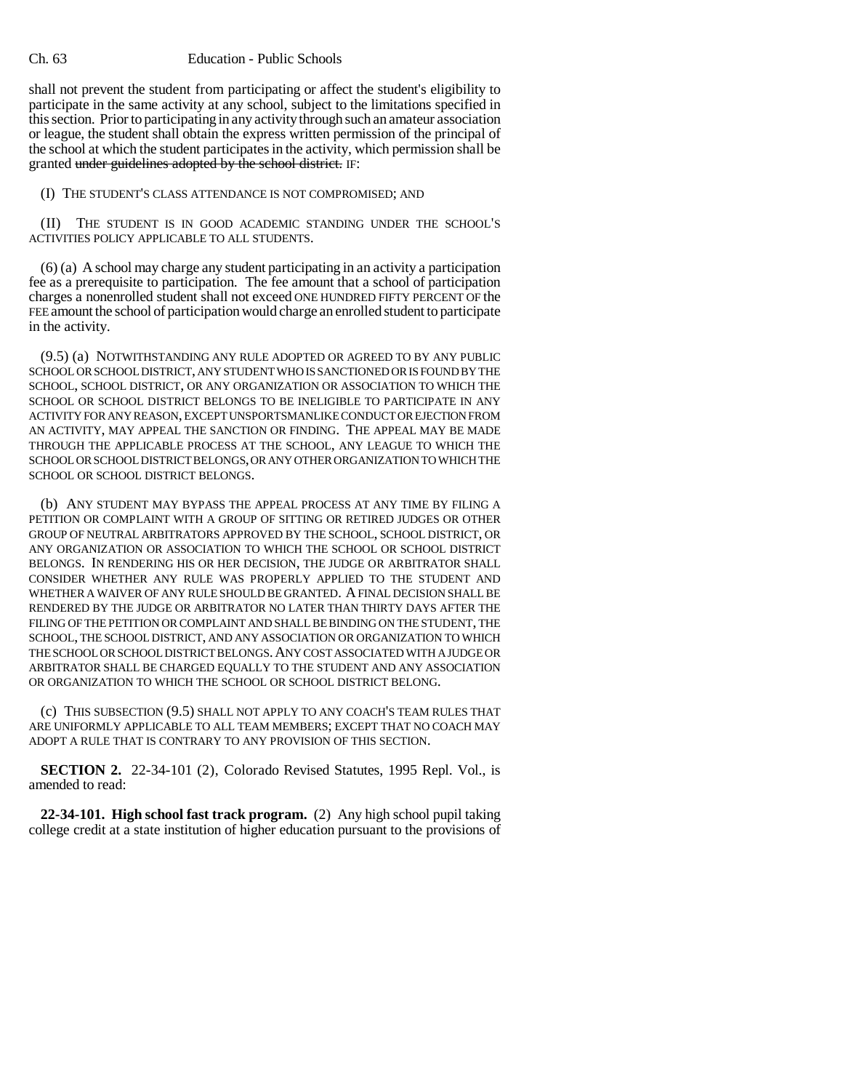## Ch. 63 Education - Public Schools

shall not prevent the student from participating or affect the student's eligibility to participate in the same activity at any school, subject to the limitations specified in this section. Prior to participating in any activity through such an amateur association or league, the student shall obtain the express written permission of the principal of the school at which the student participates in the activity, which permission shall be granted under guidelines adopted by the school district. IF:

(I) THE STUDENT'S CLASS ATTENDANCE IS NOT COMPROMISED; AND

(II) THE STUDENT IS IN GOOD ACADEMIC STANDING UNDER THE SCHOOL'S ACTIVITIES POLICY APPLICABLE TO ALL STUDENTS.

(6) (a) A school may charge any student participating in an activity a participation fee as a prerequisite to participation. The fee amount that a school of participation charges a nonenrolled student shall not exceed ONE HUNDRED FIFTY PERCENT OF the FEE amount the school of participation would charge an enrolled student to participate in the activity.

(9.5) (a) NOTWITHSTANDING ANY RULE ADOPTED OR AGREED TO BY ANY PUBLIC SCHOOL OR SCHOOL DISTRICT, ANY STUDENT WHO IS SANCTIONED OR IS FOUND BY THE SCHOOL, SCHOOL DISTRICT, OR ANY ORGANIZATION OR ASSOCIATION TO WHICH THE SCHOOL OR SCHOOL DISTRICT BELONGS TO BE INELIGIBLE TO PARTICIPATE IN ANY ACTIVITY FOR ANY REASON, EXCEPT UNSPORTSMANLIKE CONDUCT OR EJECTION FROM AN ACTIVITY, MAY APPEAL THE SANCTION OR FINDING. THE APPEAL MAY BE MADE THROUGH THE APPLICABLE PROCESS AT THE SCHOOL, ANY LEAGUE TO WHICH THE SCHOOL OR SCHOOL DISTRICT BELONGS, OR ANY OTHER ORGANIZATION TO WHICH THE SCHOOL OR SCHOOL DISTRICT BELONGS.

(b) ANY STUDENT MAY BYPASS THE APPEAL PROCESS AT ANY TIME BY FILING A PETITION OR COMPLAINT WITH A GROUP OF SITTING OR RETIRED JUDGES OR OTHER GROUP OF NEUTRAL ARBITRATORS APPROVED BY THE SCHOOL, SCHOOL DISTRICT, OR ANY ORGANIZATION OR ASSOCIATION TO WHICH THE SCHOOL OR SCHOOL DISTRICT BELONGS. IN RENDERING HIS OR HER DECISION, THE JUDGE OR ARBITRATOR SHALL CONSIDER WHETHER ANY RULE WAS PROPERLY APPLIED TO THE STUDENT AND WHETHER A WAIVER OF ANY RULE SHOULD BE GRANTED. A FINAL DECISION SHALL BE RENDERED BY THE JUDGE OR ARBITRATOR NO LATER THAN THIRTY DAYS AFTER THE FILING OF THE PETITION OR COMPLAINT AND SHALL BE BINDING ON THE STUDENT, THE SCHOOL, THE SCHOOL DISTRICT, AND ANY ASSOCIATION OR ORGANIZATION TO WHICH THE SCHOOL OR SCHOOL DISTRICT BELONGS.ANY COST ASSOCIATED WITH A JUDGE OR ARBITRATOR SHALL BE CHARGED EQUALLY TO THE STUDENT AND ANY ASSOCIATION OR ORGANIZATION TO WHICH THE SCHOOL OR SCHOOL DISTRICT BELONG.

(c) THIS SUBSECTION (9.5) SHALL NOT APPLY TO ANY COACH'S TEAM RULES THAT ARE UNIFORMLY APPLICABLE TO ALL TEAM MEMBERS; EXCEPT THAT NO COACH MAY ADOPT A RULE THAT IS CONTRARY TO ANY PROVISION OF THIS SECTION.

**SECTION 2.** 22-34-101 (2), Colorado Revised Statutes, 1995 Repl. Vol., is amended to read:

**22-34-101. High school fast track program.** (2) Any high school pupil taking college credit at a state institution of higher education pursuant to the provisions of